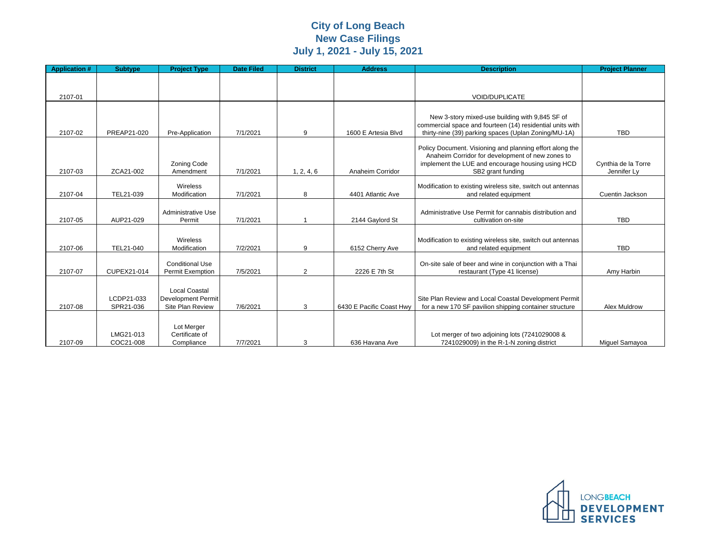## **City of Long Beach New Case Filings July 1, 2021 - July 15, 2021**

| <b>Application #</b> | <b>Subtype</b> | <b>Project Type</b>       | <b>Date Filed</b> | <b>District</b> | <b>Address</b>           | <b>Description</b>                                          | <b>Project Planner</b> |
|----------------------|----------------|---------------------------|-------------------|-----------------|--------------------------|-------------------------------------------------------------|------------------------|
|                      |                |                           |                   |                 |                          |                                                             |                        |
|                      |                |                           |                   |                 |                          |                                                             |                        |
| 2107-01              |                |                           |                   |                 |                          | <b>VOID/DUPLICATE</b>                                       |                        |
|                      |                |                           |                   |                 |                          |                                                             |                        |
|                      |                |                           |                   |                 |                          | New 3-story mixed-use building with 9,845 SF of             |                        |
|                      |                |                           |                   |                 |                          | commercial space and fourteen (14) residential units with   |                        |
| 2107-02              | PREAP21-020    | Pre-Application           | 7/1/2021          | 9               | 1600 E Artesia Blvd      | thirty-nine (39) parking spaces (Uplan Zoning/MU-1A)        | <b>TBD</b>             |
|                      |                |                           |                   |                 |                          | Policy Document. Visioning and planning effort along the    |                        |
|                      |                |                           |                   |                 |                          | Anaheim Corridor for development of new zones to            |                        |
|                      |                | <b>Zoning Code</b>        |                   |                 |                          | implement the LUE and encourage housing using HCD           | Cynthia de la Torre    |
| 2107-03              | ZCA21-002      | Amendment                 | 7/1/2021          | 1, 2, 4, 6      | Anaheim Corridor         | SB2 grant funding                                           | Jennifer Ly            |
|                      |                | Wireless                  |                   |                 |                          | Modification to existing wireless site, switch out antennas |                        |
| 2107-04              | TEL21-039      | Modification              | 7/1/2021          | 8               | 4401 Atlantic Ave        | and related equipment                                       | Cuentin Jackson        |
|                      |                |                           |                   |                 |                          |                                                             |                        |
|                      |                | <b>Administrative Use</b> |                   |                 |                          | Administrative Use Permit for cannabis distribution and     |                        |
| 2107-05              | AUP21-029      | Permit                    | 7/1/2021          |                 | 2144 Gaylord St          | cultivation on-site                                         | <b>TBD</b>             |
|                      |                |                           |                   |                 |                          |                                                             |                        |
|                      |                | Wireless                  |                   |                 |                          | Modification to existing wireless site, switch out antennas |                        |
| 2107-06              | TEL21-040      | Modification              | 7/2/2021          | 9               | 6152 Cherry Ave          | and related equipment                                       | <b>TBD</b>             |
|                      |                | <b>Conditional Use</b>    |                   |                 |                          | On-site sale of beer and wine in conjunction with a Thai    |                        |
| 2107-07              | CUPEX21-014    | <b>Permit Exemption</b>   | 7/5/2021          | $\overline{2}$  | 2226 E 7th St            | restaurant (Type 41 license)                                | Amy Harbin             |
|                      |                |                           |                   |                 |                          |                                                             |                        |
|                      |                | <b>Local Coastal</b>      |                   |                 |                          |                                                             |                        |
|                      | LCDP21-033     | <b>Development Permit</b> |                   |                 |                          | Site Plan Review and Local Coastal Development Permit       |                        |
| 2107-08              | SPR21-036      | Site Plan Review          | 7/6/2021          | 3               | 6430 E Pacific Coast Hwy | for a new 170 SF pavilion shipping container structure      | <b>Alex Muldrow</b>    |
|                      |                |                           |                   |                 |                          |                                                             |                        |
|                      |                | Lot Merger                |                   |                 |                          |                                                             |                        |
|                      | LMG21-013      | Certificate of            |                   |                 |                          | Lot merger of two adjoining lots (7241029008 &              |                        |
| 2107-09              | COC21-008      | Compliance                | 7/7/2021          | 3               | 636 Havana Ave           | 7241029009) in the R-1-N zoning district                    | Miguel Samayoa         |